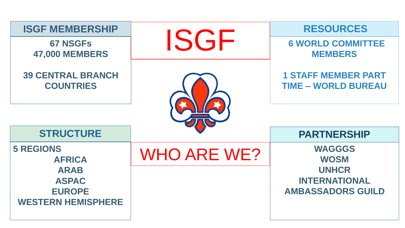| <b>ISGF MEMBERSHIP</b>                       |                    | <b>RESOURCES</b>                                         |  |  |
|----------------------------------------------|--------------------|----------------------------------------------------------|--|--|
| <b>67 NSGFs</b><br><b>47,000 MEMBERS</b>     | ISGF               | <b>6 WORLD COMMITTEE</b><br><b>MEMBERS</b>               |  |  |
| <b>39 CENTRAL BRANCH</b><br><b>COUNTRIES</b> |                    | <b>1 STAFF MEMBER PART</b><br><b>TIME - WORLD BUREAU</b> |  |  |
|                                              |                    |                                                          |  |  |
| <b>STRUCTURE</b>                             |                    | <b>PARTNERSHIP</b>                                       |  |  |
| <b>5 REGIONS</b><br><b>AFRICA</b>            | <b>WHO ARE WE?</b> | <b>WAGGGS</b><br><b>WOSM</b>                             |  |  |
| <b>ARAB</b>                                  |                    | <b>UNHCR</b>                                             |  |  |
| <b>ASPAC</b>                                 |                    | <b>INTERNATIONAL</b>                                     |  |  |
| <b>EUROPE</b><br><b>WESTERN HEMISPHERE</b>   |                    | <b>AMBASSADORS GUILD</b>                                 |  |  |
|                                              |                    |                                                          |  |  |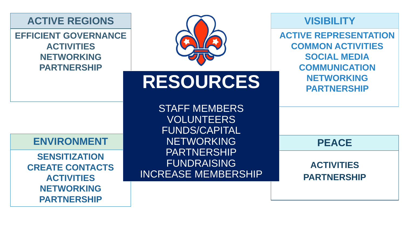#### **ACTIVE REGIONS**

**EFFICIENT GOVERNANCE ACTIVITIES NETWORKING PARTNERSHIP**



# **RESOURCES**

3TAFF MEMBERS<br>|VOLUNTEERS<br>FUNDS/CAPITAL STAFF MEMBERS VOLUNTEERS NETWORKING PARTNERSHIP **FUNDRAISING** INCREASE MEMBERSHIP

#### **VISIBILITY**

**ACTIVE REPRESENTATION COMMON ACTIVITIES SOCIAL MEDIA COMMUNICATION NETWORKING PARTNERSHIP** 

**PEACE** 

**ACTIVITIES PARTNERSHIP**

#### **ENVIRONMENT**

**SENSITIZATION CREATE CONTACTS ACTIVITIES NETWORKING PARTNERSHIP**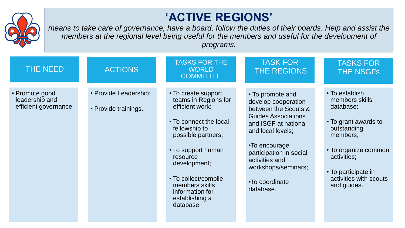

## **'ACTIVE REGIONS'**

*means to take care of governance, have a board, follow the duties of their boards. Help and assist the members at the regional level being useful for the members and useful for the development of programs.*

| THE NEED                                                 | <b>ACTIONS</b>                                | <b>TASKS FOR THE</b><br><b>WORLD</b><br><b>COMMITTEE</b>                                                                                                                                                                                                                      | <b>TASK FOR</b><br>THE REGIONS                                                                                                                                                                                                                                 | <b>TASKS FOR</b><br><b>THE NSGFS</b>                                                                                                                                                                    |
|----------------------------------------------------------|-----------------------------------------------|-------------------------------------------------------------------------------------------------------------------------------------------------------------------------------------------------------------------------------------------------------------------------------|----------------------------------------------------------------------------------------------------------------------------------------------------------------------------------------------------------------------------------------------------------------|---------------------------------------------------------------------------------------------------------------------------------------------------------------------------------------------------------|
| • Promote good<br>leadership and<br>efficient governance | • Provide Leadership;<br>• Provide trainings. | • To create support<br>teams in Regions for<br>efficient work;<br>• To connect the local<br>fellowship to<br>possible partners;<br>• To support human<br>resource<br>development;<br>• To collect/compile<br>members skills<br>information for<br>establishing a<br>database. | • To promote and<br>develop cooperation<br>between the Scouts &<br><b>Guides Associations</b><br>and ISGF at national<br>and local levels;<br>•To encourage<br>participation in social<br>activities and<br>workshops/seminars;<br>•To coordinate<br>database. | • To establish<br>members skills<br>database;<br>• To grant awards to<br>outstanding<br>members;<br>• To organize common<br>activities;<br>• To participate in<br>activities with scouts<br>and guides. |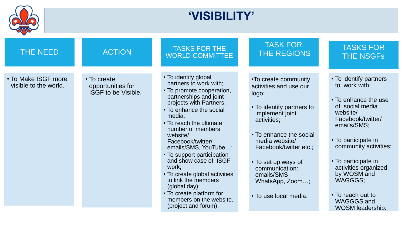|                                              | <b>'VISIBILITY'</b>                                            |                                                                                                                                                                                                                                                                                                                                                                                                                                                                                                        |                                                                                                                                                                                                                                                                                                  |                                                                                                                                                                                                                                                                                                                           |  |  |  |
|----------------------------------------------|----------------------------------------------------------------|--------------------------------------------------------------------------------------------------------------------------------------------------------------------------------------------------------------------------------------------------------------------------------------------------------------------------------------------------------------------------------------------------------------------------------------------------------------------------------------------------------|--------------------------------------------------------------------------------------------------------------------------------------------------------------------------------------------------------------------------------------------------------------------------------------------------|---------------------------------------------------------------------------------------------------------------------------------------------------------------------------------------------------------------------------------------------------------------------------------------------------------------------------|--|--|--|
| <b>THE NEED</b>                              | <b>ACTION</b>                                                  | <b>TASKS FOR THE</b><br><b>WORLD COMMITTEE</b>                                                                                                                                                                                                                                                                                                                                                                                                                                                         | <b>TASK FOR</b><br><b>THE REGIONS</b>                                                                                                                                                                                                                                                            | <b>TASKS FOR</b><br><b>THE NSGFs</b>                                                                                                                                                                                                                                                                                      |  |  |  |
| • To Make ISGF more<br>visible to the world. | • To create<br>opportunities for<br><b>ISGF to be Visible.</b> | • To identify global<br>partners to work with;<br>• To promote cooperation,<br>partnerships and joint<br>projects with Partners;<br>• To enhance the social<br>media;<br>• To reach the ultimate<br>number of members<br>website/<br>Facebook/twitter/<br>emails/SMS, YouTube;<br>• To support participation<br>and show case of ISGF<br>work;<br>• To create global activities<br>to link the members<br>(global day);<br>• To create platform for<br>members on the website.<br>(project and forum). | •To create community<br>activities and use our<br>logo;<br>• To identify partners to<br>implement joint<br>activities;<br>• To enhance the social<br>media website/<br>Facebook/twitter etc.;<br>• To set up ways of<br>communication:<br>emails/SMS<br>WhatsApp, Zoom;<br>• To use local media. | • To identify partners<br>to work with:<br>• To enhance the use<br>of social media<br>website/<br>Facebook/twitter/<br>emails/SMS;<br>• To participate in<br>community activities;<br>• To participate in<br>activities organized<br>by WOSM and<br>WAGGGS;<br>• To reach out to<br><b>WAGGGS and</b><br>WOSM leadership. |  |  |  |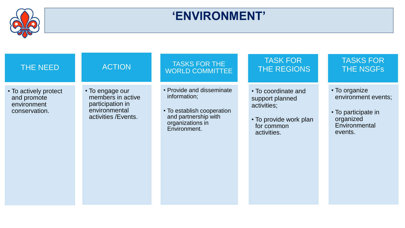

## **'ENVIRONMENT'**

| <b>THE NEED</b>                                                      | <b>ACTION</b>                                                                                     | <b>TASKS FOR THE</b><br><b>WORLD COMMITTEE</b>                                                                                      | <b>TASK FOR</b><br>THE REGIONS                                                                               | <b>TASKS FOR</b><br><b>THE NSGFS</b>                                                                 |
|----------------------------------------------------------------------|---------------------------------------------------------------------------------------------------|-------------------------------------------------------------------------------------------------------------------------------------|--------------------------------------------------------------------------------------------------------------|------------------------------------------------------------------------------------------------------|
| • To actively protect<br>and promote<br>environment<br>conservation. | • To engage our<br>members in active<br>participation in<br>environmental<br>activities / Events. | • Provide and disseminate<br>information;<br>• To establish cooperation<br>and partnership with<br>organizations in<br>Environment. | • To coordinate and<br>support planned<br>activities;<br>• To provide work plan<br>for common<br>activities. | • To organize<br>environment events;<br>• To participate in<br>organized<br>Environmental<br>events. |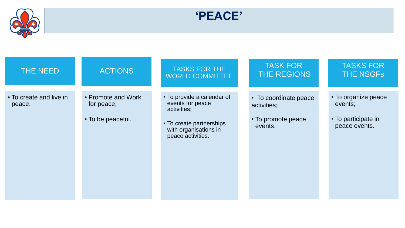

**'PEACE'**

| THE NEED                          | <b>ACTIONS</b>                                        | <b>TASKS FOR THE</b><br><b>WORLD COMMITTEE</b>                                                                                          | <b>TASK FOR</b><br>THE REGIONS                                        | <b>TASKS FOR</b><br><b>THE NSGFS</b>                                   |
|-----------------------------------|-------------------------------------------------------|-----------------------------------------------------------------------------------------------------------------------------------------|-----------------------------------------------------------------------|------------------------------------------------------------------------|
| • To create and live in<br>peace. | • Promote and Work<br>for peace;<br>• To be peaceful. | • To provide a calendar of<br>events for peace<br>activities;<br>• To create partnerships<br>with organisations in<br>peace activities. | • To coordinate peace<br>activities;<br>• To promote peace<br>events. | • To organize peace<br>events;<br>• To participate in<br>peace events. |